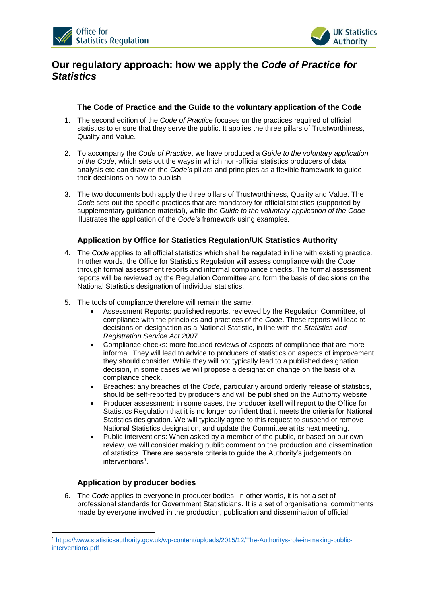



# **Our regulatory approach: how we apply the** *Code of Practice for Statistics*

### **The Code of Practice and the Guide to the voluntary application of the Code**

- 1. The second edition of the *Code of Practice* focuses on the practices required of official statistics to ensure that they serve the public. It applies the three pillars of Trustworthiness, Quality and Value.
- 2. To accompany the *Code of Practice*, we have produced a *Guide to the voluntary application of the Code*, which sets out the ways in which non-official statistics producers of data, analysis etc can draw on the *Code's* pillars and principles as a flexible framework to guide their decisions on how to publish.
- 3. The two documents both apply the three pillars of Trustworthiness, Quality and Value. The *Code* sets out the specific practices that are mandatory for official statistics (supported by supplementary guidance material), while the *Guide to the voluntary application of the Code* illustrates the application of the *Code's* framework using examples.

## **Application by Office for Statistics Regulation/UK Statistics Authority**

- 4. The *Code* applies to all official statistics which shall be regulated in line with existing practice. In other words, the Office for Statistics Regulation will assess compliance with the *Code* through formal assessment reports and informal compliance checks. The formal assessment reports will be reviewed by the Regulation Committee and form the basis of decisions on the National Statistics designation of individual statistics.
- 5. The tools of compliance therefore will remain the same:
	- Assessment Reports: published reports, reviewed by the Regulation Committee, of compliance with the principles and practices of the *Code*. These reports will lead to decisions on designation as a National Statistic, in line with the *Statistics and Registration Service Act 2007*.
	- Compliance checks: more focused reviews of aspects of compliance that are more informal. They will lead to advice to producers of statistics on aspects of improvement they should consider. While they will not typically lead to a published designation decision, in some cases we will propose a designation change on the basis of a compliance check.
	- Breaches: any breaches of the *Code*, particularly around orderly release of statistics, should be self-reported by producers and will be published on the Authority website
	- Producer assessment: in some cases, the producer itself will report to the Office for Statistics Regulation that it is no longer confident that it meets the criteria for National Statistics designation. We will typically agree to this request to suspend or remove National Statistics designation, and update the Committee at its next meeting.
	- Public interventions: When asked by a member of the public, or based on our own review, we will consider making public comment on the production and dissemination of statistics. There are separate criteria to guide the Authority's judgements on interventions<sup>1</sup>.

#### **Application by producer bodies**

<u>.</u>

6. The *Code* applies to everyone in producer bodies. In other words, it is not a set of professional standards for Government Statisticians. It is a set of organisational commitments made by everyone involved in the production, publication and dissemination of official

<sup>1</sup> [https://www.statisticsauthority.gov.uk/wp-content/uploads/2015/12/The-Authoritys-role-in-making-public](https://www.statisticsauthority.gov.uk/wp-content/uploads/2015/12/The-Authoritys-role-in-making-public-interventions.pdf)[interventions.pdf](https://www.statisticsauthority.gov.uk/wp-content/uploads/2015/12/The-Authoritys-role-in-making-public-interventions.pdf)